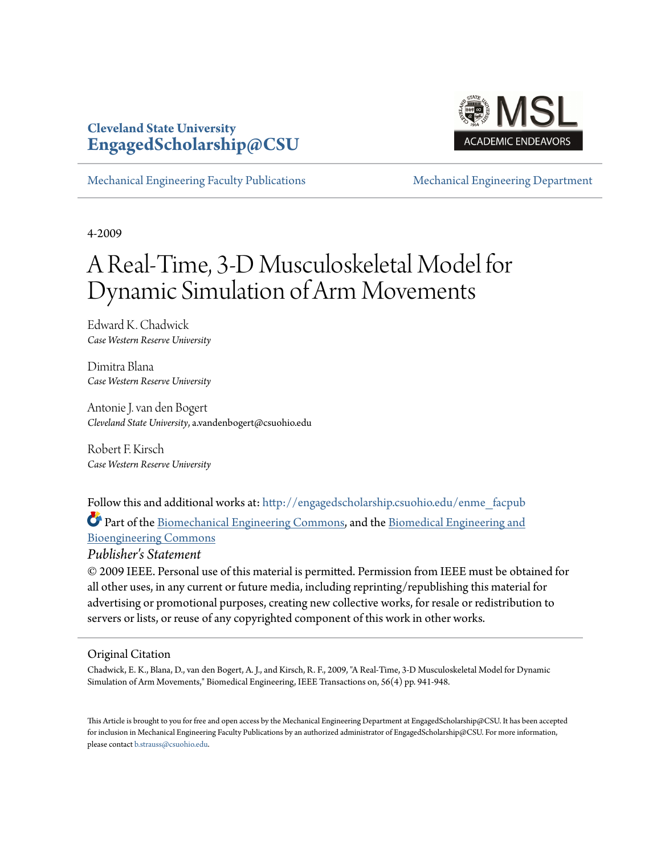## **Cleveland State University [EngagedScholarship@CSU](http://engagedscholarship.csuohio.edu?utm_source=engagedscholarship.csuohio.edu%2Fenme_facpub%2F171&utm_medium=PDF&utm_campaign=PDFCoverPages)**



[Mechanical Engineering Faculty Publications](http://engagedscholarship.csuohio.edu/enme_facpub?utm_source=engagedscholarship.csuohio.edu%2Fenme_facpub%2F171&utm_medium=PDF&utm_campaign=PDFCoverPages) [Mechanical Engineering Department](http://engagedscholarship.csuohio.edu/enme?utm_source=engagedscholarship.csuohio.edu%2Fenme_facpub%2F171&utm_medium=PDF&utm_campaign=PDFCoverPages)

4-2009

# A Real-Time, 3-D Musculoskeletal Model for Dynamic Simulation of Arm Movements

Edward K. Chadwick *Case Western Reserve University*

Dimitra Blana *Case Western Reserve University*

Antonie J. van den Bogert *Cleveland State University*, a.vandenbogert@csuohio.edu

Robert F. Kirsch *Case Western Reserve University*

Follow this and additional works at: [http://engagedscholarship.csuohio.edu/enme\\_facpub](http://engagedscholarship.csuohio.edu/enme_facpub?utm_source=engagedscholarship.csuohio.edu%2Fenme_facpub%2F171&utm_medium=PDF&utm_campaign=PDFCoverPages)

Part of the [Biomechanical Engineering Commons](http://network.bepress.com/hgg/discipline/296?utm_source=engagedscholarship.csuohio.edu%2Fenme_facpub%2F171&utm_medium=PDF&utm_campaign=PDFCoverPages), and the [Biomedical Engineering and](http://network.bepress.com/hgg/discipline/229?utm_source=engagedscholarship.csuohio.edu%2Fenme_facpub%2F171&utm_medium=PDF&utm_campaign=PDFCoverPages) [Bioengineering Commons](http://network.bepress.com/hgg/discipline/229?utm_source=engagedscholarship.csuohio.edu%2Fenme_facpub%2F171&utm_medium=PDF&utm_campaign=PDFCoverPages)

### *Publisher's Statement*

© 2009 IEEE. Personal use of this material is permitted. Permission from IEEE must be obtained for all other uses, in any current or future media, including reprinting/republishing this material for advertising or promotional purposes, creating new collective works, for resale or redistribution to servers or lists, or reuse of any copyrighted component of this work in other works.

### Original Citation

Chadwick, E. K., Blana, D., van den Bogert, A. J., and Kirsch, R. F., 2009, "A Real-Time, 3-D Musculoskeletal Model for Dynamic Simulation of Arm Movements," Biomedical Engineering, IEEE Transactions on, 56(4) pp. 941-948.

This Article is brought to you for free and open access by the Mechanical Engineering Department at EngagedScholarship@CSU. It has been accepted for inclusion in Mechanical Engineering Faculty Publications by an authorized administrator of EngagedScholarship@CSU. For more information, please contact [b.strauss@csuohio.edu.](mailto:b.strauss@csuohio.edu)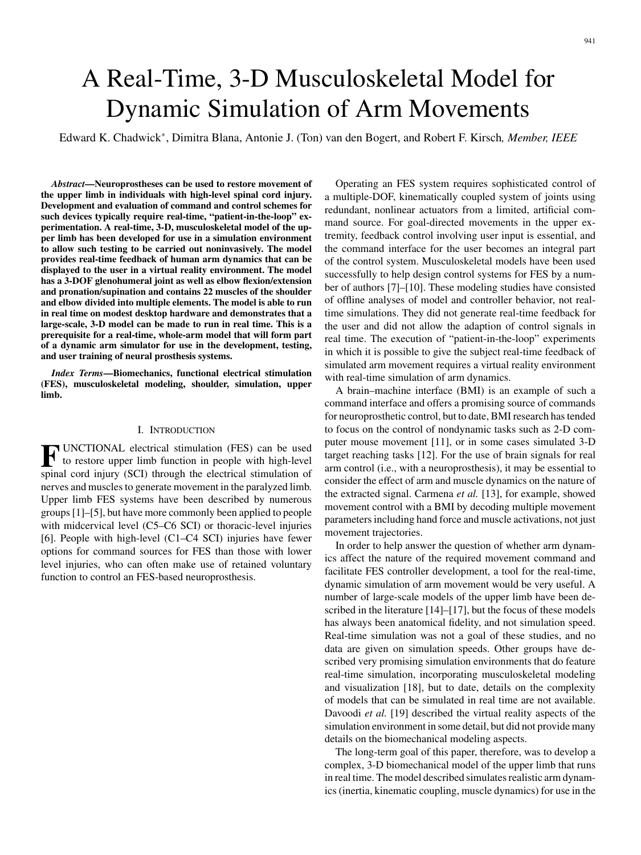# A Real-Time, 3-D Musculoskeletal Model for Dynamic Simulation of Arm Movements

Edward K. Chadwick∗, Dimitra Blana, Antonie J. (Ton) van den Bogert, and Robert F. Kirsch*, Member, IEEE*

*Abstract***—Neuroprostheses can be used to restore movement of the upper limb in individuals with high-level spinal cord injury. Development and evaluation of command and control schemes for such devices typically require real-time, "patient-in-the-loop" experimentation. A real-time, 3-D, musculoskeletal model of the upper limb has been developed for use in a simulation environment to allow such testing to be carried out noninvasively. The model provides real-time feedback of human arm dynamics that can be displayed to the user in a virtual reality environment. The model has a 3-DOF glenohumeral joint as well as elbow flexion/extension and pronation/supination and contains 22 muscles of the shoulder and elbow divided into multiple elements. The model is able to run in real time on modest desktop hardware and demonstrates that a large-scale, 3-D model can be made to run in real time. This is a prerequisite for a real-time, whole-arm model that will form part of a dynamic arm simulator for use in the development, testing, and user training of neural prosthesis systems.** 

*Index Terms***—Biomechanics, functional electrical stimulation (FES), musculoskeletal modeling, shoulder, simulation, upper limb.** 

#### I. INTRODUCTION

**F** UNCTIONAL electrical stimulation (FES) can be used to restore upper limb function in people with high-level spinal cord injury (SCI) through the electrical stimulation of nerves and muscles to generate movement in the paralyzed limb. Upper limb FES systems have been described by numerous groups [1]–[5], but have more commonly been applied to people with midcervical level (C5–C6 SCI) or thoracic-level injuries [6]. People with high-level (C1–C4 SCI) injuries have fewer options for command sources for FES than those with lower level injuries, who can often make use of retained voluntary

Operating an FES system requires sophisticated control of a multiple-DOF, kinematically coupled system of joints using redundant, nonlinear actuators from a limited, artificial command source. For goal-directed movements in the upper extremity, feedback control involving user input is essential, and the command interface for the user becomes an integral part of the control system. Musculoskeletal models have been used successfully to help design control systems for FES by a number of authors [7]–[10]. These modeling studies have consisted of offline analyses of model and controller behavior, not realtime simulations. They did not generate real-time feedback for the user and did not allow the adaption of control signals in real time. The execution of "patient-in-the-loop" experiments in which it is possible to give the subject real-time feedback of simulated arm movement requires a virtual reality environment with real-time simulation of arm dynamics.

A brain–machine interface (BMI) is an example of such a command interface and offers a promising source of commands for neuroprosthetic control, but to date, BMI research has tended to focus on the control of nondynamic tasks such as 2-D computer mouse movement [11], or in some cases simulated 3-D target reaching tasks [12]. For the use of brain signals for real arm control (i.e., with a neuroprosthesis), it may be essential to consider the effect of arm and muscle dynamics on the nature of the extracted signal. Carmena *et al.* [13], for example, showed movement control with a BMI by decoding multiple movement parameters including hand force and muscle activations, not just movement trajectories.

In order to help answer the question of whether arm dynamics affect the nature of the required movement command and facilitate FES controller development, a tool for the real-time, function to control an FES-based neuroprosthesis. dynamic simulation of arm movement would be very useful. A number of large-scale models of the upper limb have been described in the literature [14]–[17], but the focus of these models has always been anatomical fidelity, and not simulation speed. Real-time simulation was not a goal of these studies, and no data are given on simulation speeds. Other groups have described very promising simulation environments that do feature real-time simulation, incorporating musculoskeletal modeling and visualization [18], but to date, details on the complexity of models that can be simulated in real time are not available. Davoodi *et al.* [19] described the virtual reality aspects of the simulation environment in some detail, but did not provide many details on the biomechanical modeling aspects.

> The long-term goal of this paper, therefore, was to develop a complex, 3-D biomechanical model of the upper limb that runs in real time. The model described simulates realistic arm dynamics (inertia, kinematic coupling, muscle dynamics) for use in the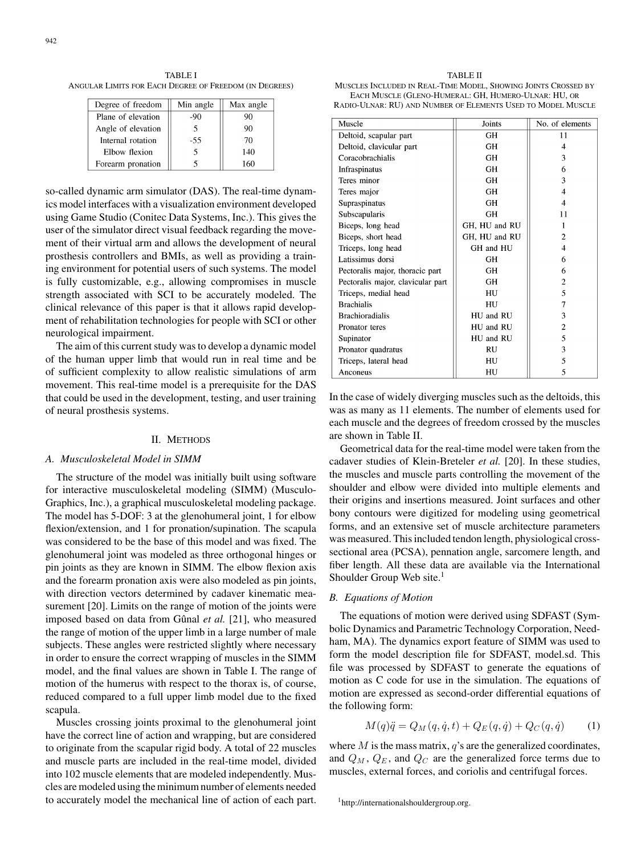TABLE I ANGULAR LIMITS FOR EACH DEGREE OF FREEDOM (IN DEGREES)

| Degree of freedom  | Min angle | Max angle |
|--------------------|-----------|-----------|
| Plane of elevation | $-90$     | 90        |
| Angle of elevation |           | 90        |
| Internal rotation  | $-55$     | 70        |
| Elbow flexion      |           | 140       |
| Forearm pronation  |           |           |

so-called dynamic arm simulator (DAS). The real-time dynamics model interfaces with a visualization environment developed using Game Studio (Conitec Data Systems, Inc.). This gives the user of the simulator direct visual feedback regarding the movement of their virtual arm and allows the development of neural prosthesis controllers and BMIs, as well as providing a training environment for potential users of such systems. The model is fully customizable, e.g., allowing compromises in muscle strength associated with SCI to be accurately modeled. The clinical relevance of this paper is that it allows rapid development of rehabilitation technologies for people with SCI or other neurological impairment.

The aim of this current study was to develop a dynamic model of the human upper limb that would run in real time and be of sufficient complexity to allow realistic simulations of arm movement. This real-time model is a prerequisite for the DAS that could be used in the development, testing, and user training of neural prosthesis systems.

#### II. METHODS

#### *A. Musculoskeletal Model in SIMM*

The structure of the model was initially built using software for interactive musculoskeletal modeling (SIMM) (Musculo-Graphics, Inc.), a graphical musculoskeletal modeling package. The model has 5-DOF: 3 at the glenohumeral joint, 1 for elbow flexion/extension, and 1 for pronation/supination. The scapula was considered to be the base of this model and was fixed. The glenohumeral joint was modeled as three orthogonal hinges or pin joints as they are known in SIMM. The elbow flexion axis and the forearm pronation axis were also modeled as pin joints, with direction vectors determined by cadaver kinematic measurement [20]. Limits on the range of motion of the joints were imposed based on data from Gûnal et al. [21], who measured the range of motion of the upper limb in a large number of male subjects. These angles were restricted slightly where necessary in order to ensure the correct wrapping of muscles in the SIMM model, and the final values are shown in Table I. The range of motion of the humerus with respect to the thorax is, of course, reduced compared to a full upper limb model due to the fixed scapula.

Muscles crossing joints proximal to the glenohumeral joint have the correct line of action and wrapping, but are considered to originate from the scapular rigid body. A total of 22 muscles and muscle parts are included in the real-time model, divided into 102 muscle elements that are modeled independently. Muscles are modeled using the minimum number of elements needed to accurately model the mechanical line of action of each part.

TABLE II MUSCLES INCLUDED IN REAL-TIME MODEL, SHOWING JOINTS CROSSED BY EACH MUSCLE (GLENO-HUMERAL: GH, HUMERO-ULNAR: HU, OR RADIO-ULNAR: RU) AND NUMBER OF ELEMENTS USED TO MODEL MUSCLE

| Muscle                            | Joints        | No. of elements         |
|-----------------------------------|---------------|-------------------------|
| Deltoid, scapular part            | GН            | 11                      |
| Deltoid, clavicular part          | GH            | $\overline{\mathbf{4}}$ |
| Coracobrachialis                  | GH            | 3                       |
| Infraspinatus                     | GH            | 6                       |
| Teres minor                       | GH            | 3                       |
| Teres major                       | GH            | $\overline{4}$          |
| Supraspinatus                     | GH            | 4                       |
| Subscapularis                     | <b>GH</b>     | 11                      |
| Biceps, long head                 | GH, HU and RU |                         |
| Biceps, short head                | GH, HU and RU | $\mathfrak{p}$          |
| Triceps, long head                | GH and HU     | $\overline{4}$          |
| Latissimus dorsi                  | GH            | 6                       |
| Pectoralis major, thoracic part   | GH            | 6                       |
| Pectoralis major, clavicular part | GH            | $\overline{2}$          |
| Triceps, medial head              | НU            | 5                       |
| <b>Brachialis</b>                 | HU            | 7                       |
| <b>Brachioradialis</b>            | HU and RU     | 3                       |
| Pronator teres                    | HU and RU     | $\overline{2}$          |
| Supinator                         | HU and RU     | 5                       |
| Pronator quadratus                | <b>RU</b>     | 3                       |
| Triceps, lateral head             | HU            | 5                       |
| Anconeus                          | HU            | 5                       |

In the case of widely diverging muscles such as the deltoids, this was as many as 11 elements. The number of elements used for each muscle and the degrees of freedom crossed by the muscles are shown in Table II.

Geometrical data for the real-time model were taken from the cadaver studies of Klein-Breteler *et al.* [20]. In these studies, the muscles and muscle parts controlling the movement of the shoulder and elbow were divided into multiple elements and their origins and insertions measured. Joint surfaces and other bony contours were digitized for modeling using geometrical forms, and an extensive set of muscle architecture parameters was measured. This included tendon length, physiological crosssectional area (PCSA), pennation angle, sarcomere length, and fiber length. All these data are available via the International Shoulder Group Web site.<sup>1</sup>

#### *B. Equations of Motion*

The equations of motion were derived using SDFAST (Symbolic Dynamics and Parametric Technology Corporation, Needham, MA). The dynamics export feature of SIMM was used to form the model description file for SDFAST, model.sd. This file was processed by SDFAST to generate the equations of motion as C code for use in the simulation. The equations of motion are expressed as second-order differential equations of the following form:

$$
M(q)\ddot{q} = Q_M(q, \dot{q}, t) + Q_E(q, \dot{q}) + Q_C(q, \dot{q}) \tag{1}
$$

where  $M$  is the mass matrix,  $q$ 's are the generalized coordinates, and  $Q_M$ ,  $Q_E$ , and  $Q_C$  are the generalized force terms due to muscles, external forces, and coriolis and centrifugal forces.

<sup>1</sup>http://internationalshouldergroup.org.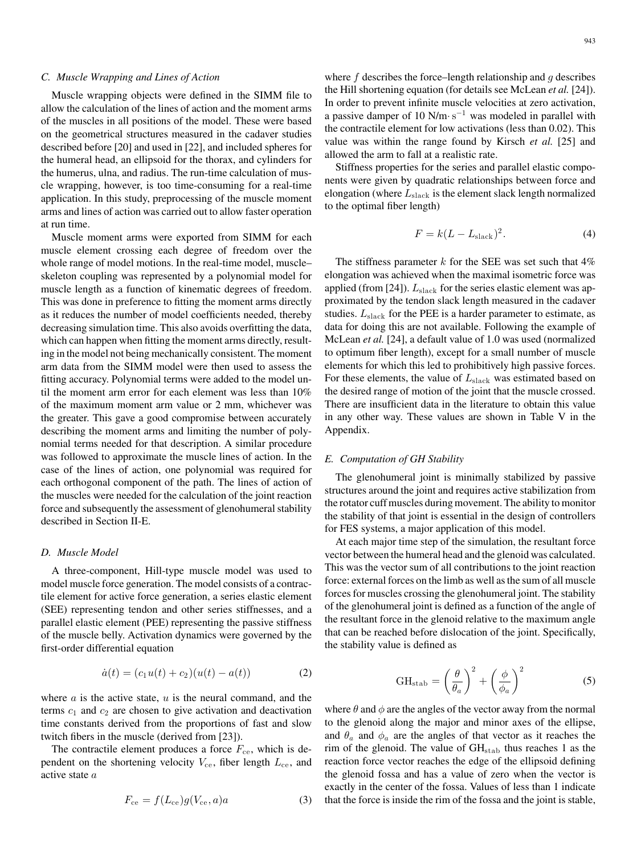#### *C. Muscle Wrapping and Lines of Action*

Muscle wrapping objects were defined in the SIMM file to allow the calculation of the lines of action and the moment arms of the muscles in all positions of the model. These were based on the geometrical structures measured in the cadaver studies described before [20] and used in [22], and included spheres for the humeral head, an ellipsoid for the thorax, and cylinders for the humerus, ulna, and radius. The run-time calculation of muscle wrapping, however, is too time-consuming for a real-time application. In this study, preprocessing of the muscle moment arms and lines of action was carried out to allow faster operation at run time.

Muscle moment arms were exported from SIMM for each muscle element crossing each degree of freedom over the whole range of model motions. In the real-time model, muscle– skeleton coupling was represented by a polynomial model for muscle length as a function of kinematic degrees of freedom. This was done in preference to fitting the moment arms directly as it reduces the number of model coefficients needed, thereby decreasing simulation time. This also avoids overfitting the data, which can happen when fitting the moment arms directly, resulting in the model not being mechanically consistent. The moment arm data from the SIMM model were then used to assess the fitting accuracy. Polynomial terms were added to the model until the moment arm error for each element was less than 10% of the maximum moment arm value or 2 mm, whichever was the greater. This gave a good compromise between accurately describing the moment arms and limiting the number of polynomial terms needed for that description. A similar procedure was followed to approximate the muscle lines of action. In the case of the lines of action, one polynomial was required for each orthogonal component of the path. The lines of action of the muscles were needed for the calculation of the joint reaction force and subsequently the assessment of glenohumeral stability described in Section II-E.

#### *D. Muscle Model*

A three-component, Hill-type muscle model was used to model muscle force generation. The model consists of a contractile element for active force generation, a series elastic element (SEE) representing tendon and other series stiffnesses, and a parallel elastic element (PEE) representing the passive stiffness of the muscle belly. Activation dynamics were governed by the first-order differential equation

$$
\dot{a}(t) = (c_1 u(t) + c_2)(u(t) - a(t))
$$
\n(2)

where  $a$  is the active state,  $u$  is the neural command, and the terms  $c_1$  and  $c_2$  are chosen to give activation and deactivation time constants derived from the proportions of fast and slow twitch fibers in the muscle (derived from [23]).

The contractile element produces a force  $F_{ce}$ , which is dependent on the shortening velocity  $V_{ce}$ , fiber length  $L_{ce}$ , and active state a

$$
F_{\rm ce} = f(L_{\rm ce})g(V_{\rm ce}, a)a \tag{3}
$$

where  $f$  describes the force–length relationship and  $g$  describes the Hill shortening equation (for details see McLean *et al.* [24]). In order to prevent infinite muscle velocities at zero activation, a passive damper of 10 N/m⋅s<sup>-1</sup> was modeled in parallel with the contractile element for low activations (less than 0.02). This value was within the range found by Kirsch *et al.* [25] and allowed the arm to fall at a realistic rate.

Stiffness properties for the series and parallel elastic components were given by quadratic relationships between force and elongation (where  $L_{\text{slack}}$  is the element slack length normalized to the optimal fiber length)

$$
F = k(L - L_{\text{slack}})^2.
$$
 (4)

The stiffness parameter  $k$  for the SEE was set such that  $4\%$ elongation was achieved when the maximal isometric force was applied (from [24]).  $L_{\text{slack}}$  for the series elastic element was approximated by the tendon slack length measured in the cadaver studies.  $L_{\text{slack}}$  for the PEE is a harder parameter to estimate, as data for doing this are not available. Following the example of McLean *et al.* [24], a default value of 1.0 was used (normalized to optimum fiber length), except for a small number of muscle elements for which this led to prohibitively high passive forces. For these elements, the value of  $L_{\rm slack}$  was estimated based on the desired range of motion of the joint that the muscle crossed. There are insufficient data in the literature to obtain this value in any other way. These values are shown in Table V in the Appendix.

#### *E. Computation of GH Stability*

The glenohumeral joint is minimally stabilized by passive structures around the joint and requires active stabilization from the rotator cuff muscles during movement. The ability to monitor the stability of that joint is essential in the design of controllers for FES systems, a major application of this model.

At each major time step of the simulation, the resultant force vector between the humeral head and the glenoid was calculated. This was the vector sum of all contributions to the joint reaction force: external forces on the limb as well as the sum of all muscle forces for muscles crossing the glenohumeral joint. The stability of the glenohumeral joint is defined as a function of the angle of the resultant force in the glenoid relative to the maximum angle that can be reached before dislocation of the joint. Specifically, the stability value is defined as

$$
GHstab = \left(\frac{\theta}{\theta_a}\right)^2 + \left(\frac{\phi}{\phi_a}\right)^2
$$
 (5)

where  $\theta$  and  $\phi$  are the angles of the vector away from the normal to the glenoid along the major and minor axes of the ellipse, and  $\theta_a$  and  $\phi_a$  are the angles of that vector as it reaches the rim of the glenoid. The value of  $GH_{stab}$  thus reaches 1 as the reaction force vector reaches the edge of the ellipsoid defining the glenoid fossa and has a value of zero when the vector is exactly in the center of the fossa. Values of less than 1 indicate that the force is inside the rim of the fossa and the joint is stable,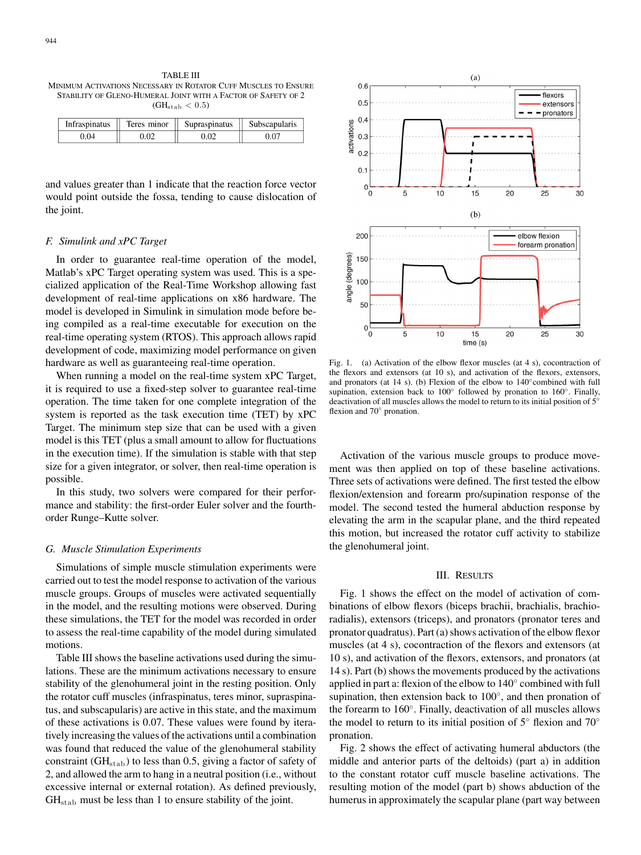TABLE III MINIMUM ACTIVATIONS NECESSARY IN ROTATOR CUFF MUSCLES TO ENSURE STABILITY OF GLENO-HUMERAL JOINT WITH A FACTOR OF SAFETY OF 2  $(GH_{\text{stab}} < 0.5)$ 

| Infraspinatus | Teres minor | Supraspinatus | <b>Subscapularis</b> |
|---------------|-------------|---------------|----------------------|
| ).04          |             |               |                      |

and values greater than 1 indicate that the reaction force vector would point outside the fossa, tending to cause dislocation of the joint.

#### *F. Simulink and xPC Target*

In order to guarantee real-time operation of the model, Matlab's xPC Target operating system was used. This is a specialized application of the Real-Time Workshop allowing fast development of real-time applications on x86 hardware. The model is developed in Simulink in simulation mode before being compiled as a real-time executable for execution on the real-time operating system (RTOS). This approach allows rapid development of code, maximizing model performance on given hardware as well as guaranteeing real-time operation.

When running a model on the real-time system xPC Target, it is required to use a fixed-step solver to guarantee real-time operation. The time taken for one complete integration of the system is reported as the task execution time (TET) by xPC Target. The minimum step size that can be used with a given model is this TET (plus a small amount to allow for fluctuations in the execution time). If the simulation is stable with that step size for a given integrator, or solver, then real-time operation is possible.

In this study, two solvers were compared for their performance and stability: the first-order Euler solver and the fourthorder Runge–Kutte solver.

#### *G. Muscle Stimulation Experiments*

Simulations of simple muscle stimulation experiments were carried out to test the model response to activation of the various muscle groups. Groups of muscles were activated sequentially in the model, and the resulting motions were observed. During these simulations, the TET for the model was recorded in order to assess the real-time capability of the model during simulated motions.

Table III shows the baseline activations used during the simulations. These are the minimum activations necessary to ensure stability of the glenohumeral joint in the resting position. Only the rotator cuff muscles (infraspinatus, teres minor, supraspinatus, and subscapularis) are active in this state, and the maximum of these activations is 0.07. These values were found by iteratively increasing the values of the activations until a combination was found that reduced the value of the glenohumeral stability constraint (GH<sub>stab</sub>) to less than 0.5, giving a factor of safety of 2, and allowed the arm to hang in a neutral position (i.e., without excessive internal or external rotation). As defined previously,  $GH<sub>stab</sub>$  must be less than 1 to ensure stability of the joint.



Fig. 1. (a) Activation of the elbow flexor muscles (at 4 s), cocontraction of the flexors and extensors (at 10 s), and activation of the flexors, extensors, and pronators (at 14 s). (b) Flexion of the elbow to  $140^\circ$ combined with full supination, extension back to 100° followed by pronation to 160°. Finally, deactivation of all muscles allows the model to return to its initial position of 5◦ flexion and 70◦ pronation.

Activation of the various muscle groups to produce movement was then applied on top of these baseline activations. Three sets of activations were defined. The first tested the elbow flexion/extension and forearm pro/supination response of the model. The second tested the humeral abduction response by elevating the arm in the scapular plane, and the third repeated this motion, but increased the rotator cuff activity to stabilize the glenohumeral joint.

#### III. RESULTS

Fig. 1 shows the effect on the model of activation of combinations of elbow flexors (biceps brachii, brachialis, brachioradialis), extensors (triceps), and pronators (pronator teres and pronator quadratus). Part (a) shows activation of the elbow flexor muscles (at 4 s), cocontraction of the flexors and extensors (at 10 s), and activation of the flexors, extensors, and pronators (at 14 s). Part (b) shows the movements produced by the activations applied in part a: flexion of the elbow to 140◦ combined with full supination, then extension back to  $100°$ , and then pronation of the forearm to 160◦. Finally, deactivation of all muscles allows the model to return to its initial position of 5◦ flexion and 70◦ pronation.

Fig. 2 shows the effect of activating humeral abductors (the middle and anterior parts of the deltoids) (part a) in addition to the constant rotator cuff muscle baseline activations. The resulting motion of the model (part b) shows abduction of the humerus in approximately the scapular plane (part way between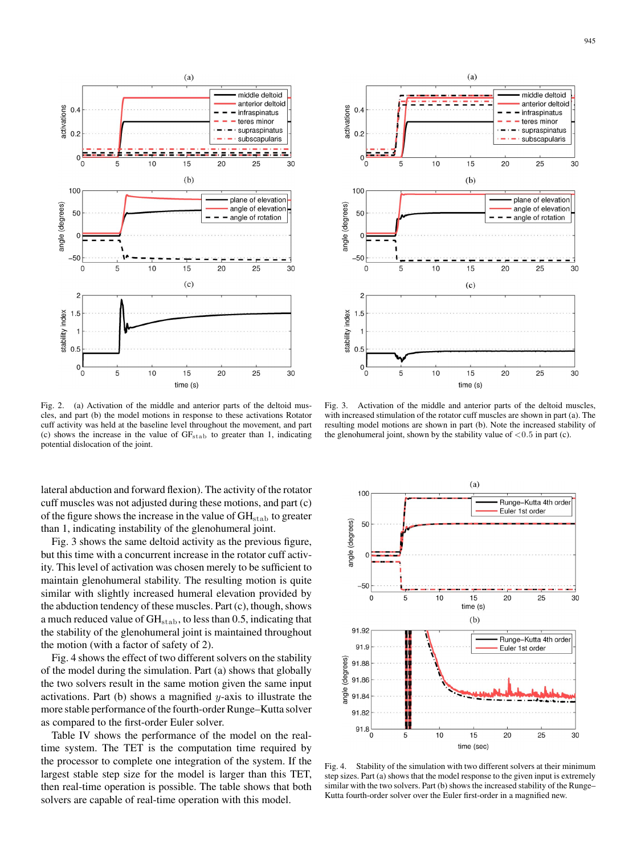

Fig. 2. (a) Activation of the middle and anterior parts of the deltoid muscles, and part (b) the model motions in response to these activations Rotator cuff activity was held at the baseline level throughout the movement, and part (c) shows the increase in the value of  $GF<sub>stab</sub>$  to greater than 1, indicating potential dislocation of the joint.

lateral abduction and forward flexion). The activity of the rotator cuff muscles was not adjusted during these motions, and part (c) of the figure shows the increase in the value of  $GH_{stab}$  to greater than 1, indicating instability of the glenohumeral joint.

Fig. 3 shows the same deltoid activity as the previous figure, but this time with a concurrent increase in the rotator cuff activity. This level of activation was chosen merely to be sufficient to maintain glenohumeral stability. The resulting motion is quite similar with slightly increased humeral elevation provided by the abduction tendency of these muscles. Part (c), though, shows a much reduced value of GH<sub>stab</sub>, to less than 0.5, indicating that the stability of the glenohumeral joint is maintained throughout the motion (with a factor of safety of 2).

Fig. 4 shows the effect of two different solvers on the stability of the model during the simulation. Part (a) shows that globally the two solvers result in the same motion given the same input activations. Part (b) shows a magnified y-axis to illustrate the more stable performance of the fourth-order Runge–Kutta solver as compared to the first-order Euler solver.

Table IV shows the performance of the model on the realtime system. The TET is the computation time required by the processor to complete one integration of the system. If the largest stable step size for the model is larger than this TET, then real-time operation is possible. The table shows that both solvers are capable of real-time operation with this model.



Fig. 3. Activation of the middle and anterior parts of the deltoid muscles, with increased stimulation of the rotator cuff muscles are shown in part (a). The resulting model motions are shown in part (b). Note the increased stability of the glenohumeral joint, shown by the stability value of  $< 0.5$  in part (c).



Fig. 4. Stability of the simulation with two different solvers at their minimum step sizes. Part (a) shows that the model response to the given input is extremely similar with the two solvers. Part (b) shows the increased stability of the Runge– Kutta fourth-order solver over the Euler first-order in a magnified new.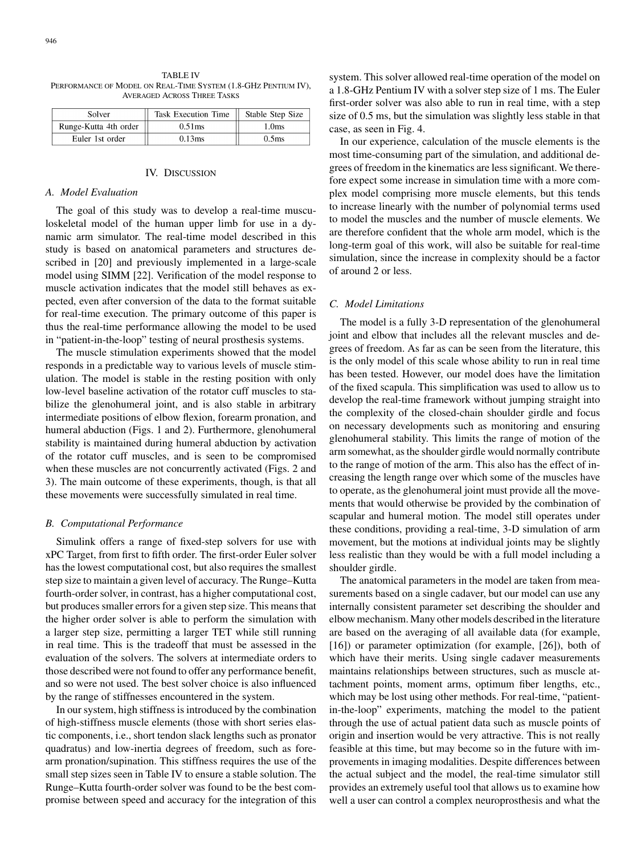TABLE IV PERFORMANCE OF MODEL ON REAL-TIME SYSTEM (1.8-GHZ PENTIUM IV), AVERAGED ACROSS THREE TASKS

| Solver                | <b>Task Execution Time</b> | Stable Step Size  |
|-----------------------|----------------------------|-------------------|
| Runge-Kutta 4th order | $0.51$ ms                  | 1.0ms             |
| Euler 1st order       | 0.13ms                     | 0.5 <sub>ms</sub> |

#### IV. DISCUSSION

#### *A. Model Evaluation*

The goal of this study was to develop a real-time musculoskeletal model of the human upper limb for use in a dynamic arm simulator. The real-time model described in this study is based on anatomical parameters and structures described in [20] and previously implemented in a large-scale model using SIMM [22]. Verification of the model response to muscle activation indicates that the model still behaves as expected, even after conversion of the data to the format suitable for real-time execution. The primary outcome of this paper is thus the real-time performance allowing the model to be used in "patient-in-the-loop" testing of neural prosthesis systems.

The muscle stimulation experiments showed that the model responds in a predictable way to various levels of muscle stimulation. The model is stable in the resting position with only low-level baseline activation of the rotator cuff muscles to stabilize the glenohumeral joint, and is also stable in arbitrary intermediate positions of elbow flexion, forearm pronation, and humeral abduction (Figs. 1 and 2). Furthermore, glenohumeral stability is maintained during humeral abduction by activation of the rotator cuff muscles, and is seen to be compromised when these muscles are not concurrently activated (Figs. 2 and 3). The main outcome of these experiments, though, is that all these movements were successfully simulated in real time.

#### *B. Computational Performance*

Simulink offers a range of fixed-step solvers for use with xPC Target, from first to fifth order. The first-order Euler solver has the lowest computational cost, but also requires the smallest step size to maintain a given level of accuracy. The Runge–Kutta fourth-order solver, in contrast, has a higher computational cost, but produces smaller errors for a given step size. This means that the higher order solver is able to perform the simulation with a larger step size, permitting a larger TET while still running in real time. This is the tradeoff that must be assessed in the evaluation of the solvers. The solvers at intermediate orders to those described were not found to offer any performance benefit, and so were not used. The best solver choice is also influenced by the range of stiffnesses encountered in the system.

In our system, high stiffness is introduced by the combination of high-stiffness muscle elements (those with short series elastic components, i.e., short tendon slack lengths such as pronator quadratus) and low-inertia degrees of freedom, such as forearm pronation/supination. This stiffness requires the use of the small step sizes seen in Table IV to ensure a stable solution. The Runge–Kutta fourth-order solver was found to be the best compromise between speed and accuracy for the integration of this system. This solver allowed real-time operation of the model on a 1.8-GHz Pentium IV with a solver step size of 1 ms. The Euler first-order solver was also able to run in real time, with a step size of 0.5 ms, but the simulation was slightly less stable in that case, as seen in Fig. 4.

In our experience, calculation of the muscle elements is the most time-consuming part of the simulation, and additional degrees of freedom in the kinematics are less significant. We therefore expect some increase in simulation time with a more complex model comprising more muscle elements, but this tends to increase linearly with the number of polynomial terms used to model the muscles and the number of muscle elements. We are therefore confident that the whole arm model, which is the long-term goal of this work, will also be suitable for real-time simulation, since the increase in complexity should be a factor of around 2 or less.

#### *C. Model Limitations*

The model is a fully 3-D representation of the glenohumeral joint and elbow that includes all the relevant muscles and degrees of freedom. As far as can be seen from the literature, this is the only model of this scale whose ability to run in real time has been tested. However, our model does have the limitation of the fixed scapula. This simplification was used to allow us to develop the real-time framework without jumping straight into the complexity of the closed-chain shoulder girdle and focus on necessary developments such as monitoring and ensuring glenohumeral stability. This limits the range of motion of the arm somewhat, as the shoulder girdle would normally contribute to the range of motion of the arm. This also has the effect of increasing the length range over which some of the muscles have to operate, as the glenohumeral joint must provide all the movements that would otherwise be provided by the combination of scapular and humeral motion. The model still operates under these conditions, providing a real-time, 3-D simulation of arm movement, but the motions at individual joints may be slightly less realistic than they would be with a full model including a shoulder girdle.

The anatomical parameters in the model are taken from measurements based on a single cadaver, but our model can use any internally consistent parameter set describing the shoulder and elbow mechanism. Many other models described in the literature are based on the averaging of all available data (for example, [16]) or parameter optimization (for example, [26]), both of which have their merits. Using single cadaver measurements maintains relationships between structures, such as muscle attachment points, moment arms, optimum fiber lengths, etc., which may be lost using other methods. For real-time, "patientin-the-loop" experiments, matching the model to the patient through the use of actual patient data such as muscle points of origin and insertion would be very attractive. This is not really feasible at this time, but may become so in the future with improvements in imaging modalities. Despite differences between the actual subject and the model, the real-time simulator still provides an extremely useful tool that allows us to examine how well a user can control a complex neuroprosthesis and what the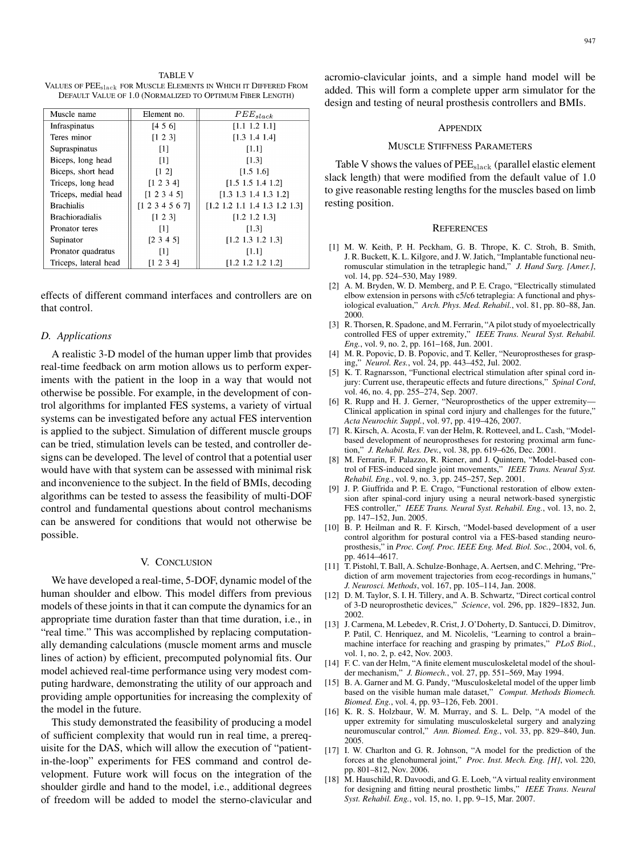TABLE V VALUES OF PEEslack FOR MUSCLE ELEMENTS IN WHICH IT DIFFERED FROM DEFAULT VALUE OF 1.0 (NORMALIZED TO OPTIMUM FIBER LENGTH)

| Muscle name            | Element no.          | $PEE_{slack}$                               |
|------------------------|----------------------|---------------------------------------------|
| Infraspinatus          | [456]                | $[1.1 \; 1.2 \; 1.1]$                       |
| Teres minor            | [1 2 3]              | $[1.3 \; 1.4 \; 1.4]$                       |
| Supraspinatus          | $\lceil 1 \rceil$    | [1.1]                                       |
| Biceps, long head      | $\lceil 1 \rceil$    | [1.3]                                       |
| Biceps, short head     | $\lceil 1 \rceil$    | [1.5 1.6]                                   |
| Triceps, long head     | [1 2 3 4]            | $[1.5 \t1.5 \t1.4 \t1.2]$                   |
| Triceps, medial head   | [1 2 3 4 5]          | [1.3 1.3 1.4 1.3 1.2]                       |
| <b>Brachialis</b>      | [1 2 3 4 5 6 7]      | $[1.2 \ 1.2 \ 1.1 \ 1.4 \ 1.3 \ 1.2 \ 1.3]$ |
| <b>Brachioradialis</b> | [1 2 3]              | [1.2 1.2 1.3]                               |
| Pronator teres         | [1]                  | [1.3]                                       |
| Supinator              | $[2 \; 3 \; 4 \; 5]$ | [1.2 1.3 1.2 1.3]                           |
| Pronator quadratus     | [1]                  | [1.1]                                       |
| Triceps, lateral head  | [1 2 3 4]            | [1.2 1.2 1.2 1.2]                           |

effects of different command interfaces and controllers are on that control.

#### *D. Applications*

A realistic 3-D model of the human upper limb that provides real-time feedback on arm motion allows us to perform experiments with the patient in the loop in a way that would not otherwise be possible. For example, in the development of control algorithms for implanted FES systems, a variety of virtual systems can be investigated before any actual FES intervention is applied to the subject. Simulation of different muscle groups can be tried, stimulation levels can be tested, and controller designs can be developed. The level of control that a potential user would have with that system can be assessed with minimal risk and inconvenience to the subject. In the field of BMIs, decoding algorithms can be tested to assess the feasibility of multi-DOF control and fundamental questions about control mechanisms can be answered for conditions that would not otherwise be possible.

#### V. CONCLUSION

We have developed a real-time, 5-DOF, dynamic model of the human shoulder and elbow. This model differs from previous models of these joints in that it can compute the dynamics for an appropriate time duration faster than that time duration, i.e., in "real time." This was accomplished by replacing computationally demanding calculations (muscle moment arms and muscle lines of action) by efficient, precomputed polynomial fits. Our model achieved real-time performance using very modest computing hardware, demonstrating the utility of our approach and providing ample opportunities for increasing the complexity of the model in the future.

This study demonstrated the feasibility of producing a model of sufficient complexity that would run in real time, a prerequisite for the DAS, which will allow the execution of "patientin-the-loop" experiments for FES command and control development. Future work will focus on the integration of the shoulder girdle and hand to the model, i.e., additional degrees of freedom will be added to model the sterno-clavicular and acromio-clavicular joints, and a simple hand model will be added. This will form a complete upper arm simulator for the design and testing of neural prosthesis controllers and BMIs.

#### **APPENDIX**

#### MUSCLE STIFFNESS PARAMETERS

Table V shows the values of PEE<sub>slack</sub> (parallel elastic element slack length) that were modified from the default value of 1.0 to give reasonable resting lengths for the muscles based on limb resting position.

#### **REFERENCES**

- [1] M. W. Keith, P. H. Peckham, G. B. Thrope, K. C. Stroh, B. Smith, J. R. Buckett, K. L. Kilgore, and J. W. Jatich, "Implantable functional neuromuscular stimulation in the tetraplegic hand," *J. Hand Surg. [Amer.]*, vol. 14, pp. 524–530, May 1989.
- [2] A. M. Bryden, W. D. Memberg, and P. E. Crago, "Electrically stimulated elbow extension in persons with c5/c6 tetraplegia: A functional and physiological evaluation," *Arch. Phys. Med. Rehabil.*, vol. 81, pp. 80–88, Jan. 2000.
- [3] R. Thorsen, R. Spadone, and M. Ferrarin, "A pilot study of myoelectrically controlled FES of upper extremity," *IEEE Trans. Neural Syst. Rehabil. Eng.*, vol. 9, no. 2, pp. 161–168, Jun. 2001.
- [4] M. R. Popovic, D. B. Popovic, and T. Keller, "Neuroprostheses for grasping," *Neurol. Res.*, vol. 24, pp. 443–452, Jul. 2002.
- [5] K. T. Ragnarsson, "Functional electrical stimulation after spinal cord injury: Current use, therapeutic effects and future directions," *Spinal Cord*, vol. 46, no. 4, pp. 255–274, Sep. 2007.
- [6] R. Rupp and H. J. Gerner, "Neuroprosthetics of the upper extremity— Clinical application in spinal cord injury and challenges for the future," *Acta Neurochir. Suppl.*, vol. 97, pp. 419–426, 2007.
- [7] R. Kirsch, A. Acosta, F. van der Helm, R. Rotteveel, and L. Cash, "Modelbased development of neuroprostheses for restoring proximal arm function," *J. Rehabil. Res. Dev.*, vol. 38, pp. 619–626, Dec. 2001.
- [8] M. Ferrarin, F. Palazzo, R. Riener, and J. Quintern, "Model-based control of FES-induced single joint movements," *IEEE Trans. Neural Syst. Rehabil. Eng.*, vol. 9, no. 3, pp. 245–257, Sep. 2001.
- [9] J. P. Giuffrida and P. E. Crago, "Functional restoration of elbow extension after spinal-cord injury using a neural network-based synergistic FES controller," *IEEE Trans. Neural Syst. Rehabil. Eng.*, vol. 13, no. 2, pp. 147–152, Jun. 2005.
- [10] B. P. Heilman and R. F. Kirsch, "Model-based development of a user control algorithm for postural control via a FES-based standing neuroprosthesis," in *Proc. Conf. Proc. IEEE Eng. Med. Biol. Soc.*, 2004, vol. 6, pp. 4614–4617.
- [11] T. Pistohl, T. Ball, A. Schulze-Bonhage, A. Aertsen, and C. Mehring, "Prediction of arm movement trajectories from ecog-recordings in humans," *J. Neurosci. Methods*, vol. 167, pp. 105–114, Jan. 2008.
- [12] D. M. Taylor, S. I. H. Tillery, and A. B. Schwartz, "Direct cortical control of 3-D neuroprosthetic devices," *Science*, vol. 296, pp. 1829–1832, Jun. 2002.
- [13] J. Carmena, M. Lebedev, R. Crist, J. O'Doherty, D. Santucci, D. Dimitrov, P. Patil, C. Henriquez, and M. Nicolelis, "Learning to control a brain– machine interface for reaching and grasping by primates," *PLoS Biol.*, vol. 1, no. 2, p. e42, Nov. 2003.
- [14] F. C. van der Helm, "A finite element musculoskeletal model of the shoulder mechanism," *J. Biomech.*, vol. 27, pp. 551–569, May 1994.
- [15] B. A. Garner and M. G. Pandy, "Musculoskeletal model of the upper limb based on the visible human male dataset," *Comput. Methods Biomech. Biomed. Eng.*, vol. 4, pp. 93–126, Feb. 2001.
- [16] K. R. S. Holzbaur, W. M. Murray, and S. L. Delp, "A model of the upper extremity for simulating musculoskeletal surgery and analyzing neuromuscular control," *Ann. Biomed. Eng.*, vol. 33, pp. 829–840, Jun. 2005.
- [17] I. W. Charlton and G. R. Johnson, "A model for the prediction of the forces at the glenohumeral joint," *Proc. Inst. Mech. Eng. [H]*, vol. 220, pp. 801–812, Nov. 2006.
- [18] M. Hauschild, R. Davoodi, and G. E. Loeb, "A virtual reality environment for designing and fitting neural prosthetic limbs," *IEEE Trans. Neural Syst. Rehabil. Eng.*, vol. 15, no. 1, pp. 9–15, Mar. 2007.